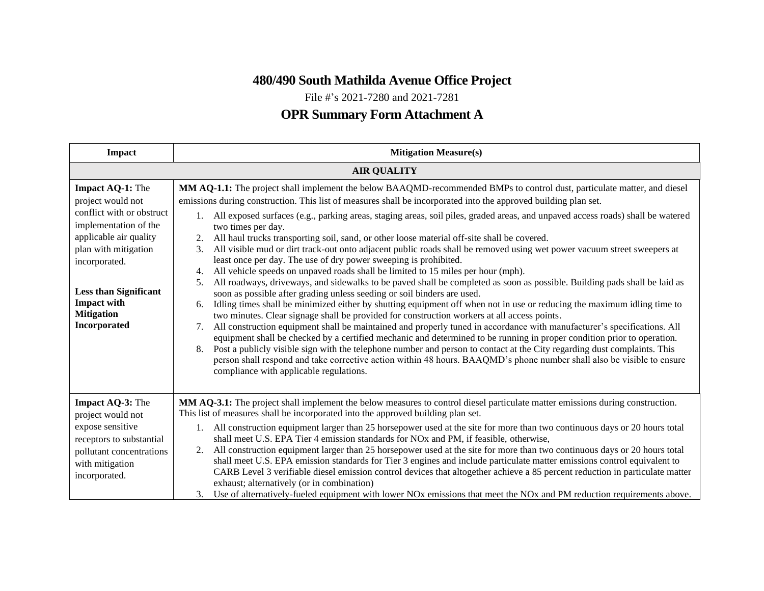## **480/490 South Mathilda Avenue Office Project**

File #'s 2021-7280 and 2021-7281

## **OPR Summary Form Attachment A**

| Impact                                                                                                                                                                                                                                                           | <b>Mitigation Measure(s)</b>                                                                                                                                                                                                                                                                                                                                                                                                                                                                                                                                                                                                                                                                                                                                                                                                                                                                                                                                                                                                                                                                                                                                                                                                                                                                                                                                                                                                                                                                                                                                                                                                                                                                                                                                                                                          |
|------------------------------------------------------------------------------------------------------------------------------------------------------------------------------------------------------------------------------------------------------------------|-----------------------------------------------------------------------------------------------------------------------------------------------------------------------------------------------------------------------------------------------------------------------------------------------------------------------------------------------------------------------------------------------------------------------------------------------------------------------------------------------------------------------------------------------------------------------------------------------------------------------------------------------------------------------------------------------------------------------------------------------------------------------------------------------------------------------------------------------------------------------------------------------------------------------------------------------------------------------------------------------------------------------------------------------------------------------------------------------------------------------------------------------------------------------------------------------------------------------------------------------------------------------------------------------------------------------------------------------------------------------------------------------------------------------------------------------------------------------------------------------------------------------------------------------------------------------------------------------------------------------------------------------------------------------------------------------------------------------------------------------------------------------------------------------------------------------|
| <b>AIR QUALITY</b>                                                                                                                                                                                                                                               |                                                                                                                                                                                                                                                                                                                                                                                                                                                                                                                                                                                                                                                                                                                                                                                                                                                                                                                                                                                                                                                                                                                                                                                                                                                                                                                                                                                                                                                                                                                                                                                                                                                                                                                                                                                                                       |
| <b>Impact AQ-1:</b> The<br>project would not<br>conflict with or obstruct<br>implementation of the<br>applicable air quality<br>plan with mitigation<br>incorporated.<br><b>Less than Significant</b><br><b>Impact with</b><br><b>Mitigation</b><br>Incorporated | MM AQ-1.1: The project shall implement the below BAAQMD-recommended BMPs to control dust, particulate matter, and diesel<br>emissions during construction. This list of measures shall be incorporated into the approved building plan set.<br>1. All exposed surfaces (e.g., parking areas, staging areas, soil piles, graded areas, and unpaved access roads) shall be watered<br>two times per day.<br>All haul trucks transporting soil, sand, or other loose material off-site shall be covered.<br>All visible mud or dirt track-out onto adjacent public roads shall be removed using wet power vacuum street sweepers at<br>3.<br>least once per day. The use of dry power sweeping is prohibited.<br>All vehicle speeds on unpaved roads shall be limited to 15 miles per hour (mph).<br>4.<br>All roadways, driveways, and sidewalks to be paved shall be completed as soon as possible. Building pads shall be laid as<br>5.<br>soon as possible after grading unless seeding or soil binders are used.<br>Idling times shall be minimized either by shutting equipment off when not in use or reducing the maximum idling time to<br>6.<br>two minutes. Clear signage shall be provided for construction workers at all access points.<br>All construction equipment shall be maintained and properly tuned in accordance with manufacturer's specifications. All<br>7.<br>equipment shall be checked by a certified mechanic and determined to be running in proper condition prior to operation.<br>Post a publicly visible sign with the telephone number and person to contact at the City regarding dust complaints. This<br>8.<br>person shall respond and take corrective action within 48 hours. BAAQMD's phone number shall also be visible to ensure<br>compliance with applicable regulations. |
| Impact AQ-3: The<br>project would not<br>expose sensitive<br>receptors to substantial<br>pollutant concentrations<br>with mitigation<br>incorporated.                                                                                                            | MM AQ-3.1: The project shall implement the below measures to control diesel particulate matter emissions during construction.<br>This list of measures shall be incorporated into the approved building plan set.<br>1. All construction equipment larger than 25 horsepower used at the site for more than two continuous days or 20 hours total<br>shall meet U.S. EPA Tier 4 emission standards for NOx and PM, if feasible, otherwise,<br>All construction equipment larger than 25 horsepower used at the site for more than two continuous days or 20 hours total<br>2.<br>shall meet U.S. EPA emission standards for Tier 3 engines and include particulate matter emissions control equivalent to<br>CARB Level 3 verifiable diesel emission control devices that altogether achieve a 85 percent reduction in particulate matter<br>exhaust; alternatively (or in combination)<br>3. Use of alternatively-fueled equipment with lower NOx emissions that meet the NOx and PM reduction requirements above.                                                                                                                                                                                                                                                                                                                                                                                                                                                                                                                                                                                                                                                                                                                                                                                                   |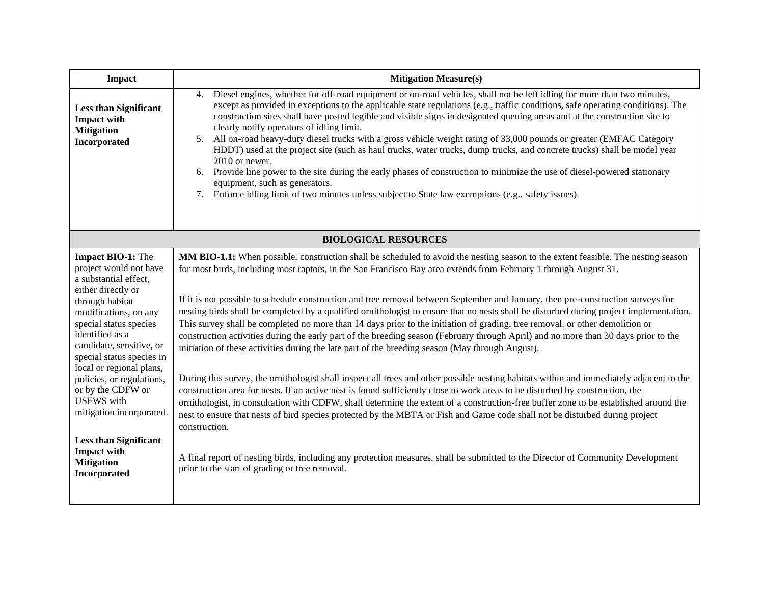| <b>Impact</b>                                                                                                                                                                                                                                                                                                                                                                                                                                                                 | <b>Mitigation Measure(s)</b>                                                                                                                                                                                                                                                                                                                                                                                                                                                                                                                                                                                                                                                                                                                                                                                                                                                                                                                                                                                                                                                                                                                                                                                                                                                                                                                                                                                                                                                                                                                                                                                                                                              |
|-------------------------------------------------------------------------------------------------------------------------------------------------------------------------------------------------------------------------------------------------------------------------------------------------------------------------------------------------------------------------------------------------------------------------------------------------------------------------------|---------------------------------------------------------------------------------------------------------------------------------------------------------------------------------------------------------------------------------------------------------------------------------------------------------------------------------------------------------------------------------------------------------------------------------------------------------------------------------------------------------------------------------------------------------------------------------------------------------------------------------------------------------------------------------------------------------------------------------------------------------------------------------------------------------------------------------------------------------------------------------------------------------------------------------------------------------------------------------------------------------------------------------------------------------------------------------------------------------------------------------------------------------------------------------------------------------------------------------------------------------------------------------------------------------------------------------------------------------------------------------------------------------------------------------------------------------------------------------------------------------------------------------------------------------------------------------------------------------------------------------------------------------------------------|
| <b>Less than Significant</b><br><b>Impact with</b><br><b>Mitigation</b><br>Incorporated                                                                                                                                                                                                                                                                                                                                                                                       | Diesel engines, whether for off-road equipment or on-road vehicles, shall not be left idling for more than two minutes,<br>4.<br>except as provided in exceptions to the applicable state regulations (e.g., traffic conditions, safe operating conditions). The<br>construction sites shall have posted legible and visible signs in designated queuing areas and at the construction site to<br>clearly notify operators of idling limit.<br>5. All on-road heavy-duty diesel trucks with a gross vehicle weight rating of 33,000 pounds or greater (EMFAC Category<br>HDDT) used at the project site (such as haul trucks, water trucks, dump trucks, and concrete trucks) shall be model year<br>2010 or newer.<br>6. Provide line power to the site during the early phases of construction to minimize the use of diesel-powered stationary<br>equipment, such as generators.<br>Enforce idling limit of two minutes unless subject to State law exemptions (e.g., safety issues).<br>7.                                                                                                                                                                                                                                                                                                                                                                                                                                                                                                                                                                                                                                                                            |
| <b>BIOLOGICAL RESOURCES</b>                                                                                                                                                                                                                                                                                                                                                                                                                                                   |                                                                                                                                                                                                                                                                                                                                                                                                                                                                                                                                                                                                                                                                                                                                                                                                                                                                                                                                                                                                                                                                                                                                                                                                                                                                                                                                                                                                                                                                                                                                                                                                                                                                           |
| <b>Impact BIO-1:</b> The<br>project would not have<br>a substantial effect,<br>either directly or<br>through habitat<br>modifications, on any<br>special status species<br>identified as a<br>candidate, sensitive, or<br>special status species in<br>local or regional plans,<br>policies, or regulations,<br>or by the CDFW or<br><b>USFWS</b> with<br>mitigation incorporated.<br><b>Less than Significant</b><br><b>Impact with</b><br><b>Mitigation</b><br>Incorporated | MM BIO-1.1: When possible, construction shall be scheduled to avoid the nesting season to the extent feasible. The nesting season<br>for most birds, including most raptors, in the San Francisco Bay area extends from February 1 through August 31.<br>If it is not possible to schedule construction and tree removal between September and January, then pre-construction surveys for<br>nesting birds shall be completed by a qualified ornithologist to ensure that no nests shall be disturbed during project implementation.<br>This survey shall be completed no more than 14 days prior to the initiation of grading, tree removal, or other demolition or<br>construction activities during the early part of the breeding season (February through April) and no more than 30 days prior to the<br>initiation of these activities during the late part of the breeding season (May through August).<br>During this survey, the ornithologist shall inspect all trees and other possible nesting habitats within and immediately adjacent to the<br>construction area for nests. If an active nest is found sufficiently close to work areas to be disturbed by construction, the<br>ornithologist, in consultation with CDFW, shall determine the extent of a construction-free buffer zone to be established around the<br>nest to ensure that nests of bird species protected by the MBTA or Fish and Game code shall not be disturbed during project<br>construction.<br>A final report of nesting birds, including any protection measures, shall be submitted to the Director of Community Development<br>prior to the start of grading or tree removal. |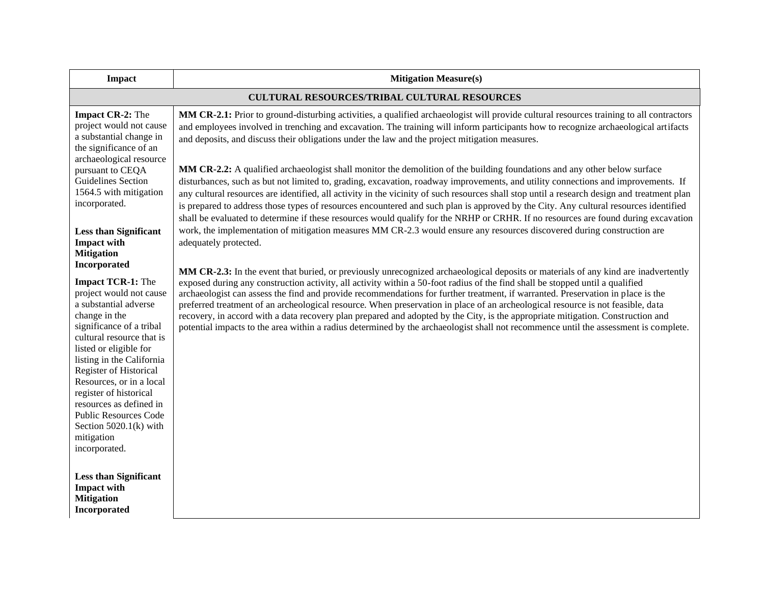| <b>Impact</b>                                                                                                                                                                                                                                                                                                                                                                                                                       | <b>Mitigation Measure(s)</b>                                                                                                                                                                                                                                                                                                                                                                                                                                                                                                                                                                                                                                                                                                                                                                                         |
|-------------------------------------------------------------------------------------------------------------------------------------------------------------------------------------------------------------------------------------------------------------------------------------------------------------------------------------------------------------------------------------------------------------------------------------|----------------------------------------------------------------------------------------------------------------------------------------------------------------------------------------------------------------------------------------------------------------------------------------------------------------------------------------------------------------------------------------------------------------------------------------------------------------------------------------------------------------------------------------------------------------------------------------------------------------------------------------------------------------------------------------------------------------------------------------------------------------------------------------------------------------------|
| <b>CULTURAL RESOURCES/TRIBAL CULTURAL RESOURCES</b>                                                                                                                                                                                                                                                                                                                                                                                 |                                                                                                                                                                                                                                                                                                                                                                                                                                                                                                                                                                                                                                                                                                                                                                                                                      |
| <b>Impact CR-2:</b> The<br>project would not cause<br>a substantial change in<br>the significance of an<br>archaeological resource                                                                                                                                                                                                                                                                                                  | MM CR-2.1: Prior to ground-disturbing activities, a qualified archaeologist will provide cultural resources training to all contractors<br>and employees involved in trenching and excavation. The training will inform participants how to recognize archaeological artifacts<br>and deposits, and discuss their obligations under the law and the project mitigation measures.                                                                                                                                                                                                                                                                                                                                                                                                                                     |
| pursuant to CEQA<br><b>Guidelines Section</b><br>1564.5 with mitigation<br>incorporated.                                                                                                                                                                                                                                                                                                                                            | MM CR-2.2: A qualified archaeologist shall monitor the demolition of the building foundations and any other below surface<br>disturbances, such as but not limited to, grading, excavation, roadway improvements, and utility connections and improvements. If<br>any cultural resources are identified, all activity in the vicinity of such resources shall stop until a research design and treatment plan<br>is prepared to address those types of resources encountered and such plan is approved by the City. Any cultural resources identified<br>shall be evaluated to determine if these resources would qualify for the NRHP or CRHR. If no resources are found during excavation                                                                                                                          |
| <b>Less than Significant</b><br><b>Impact with</b><br><b>Mitigation</b>                                                                                                                                                                                                                                                                                                                                                             | work, the implementation of mitigation measures MM CR-2.3 would ensure any resources discovered during construction are<br>adequately protected.                                                                                                                                                                                                                                                                                                                                                                                                                                                                                                                                                                                                                                                                     |
| Incorporated<br><b>Impact TCR-1:</b> The<br>project would not cause<br>a substantial adverse<br>change in the<br>significance of a tribal<br>cultural resource that is<br>listed or eligible for<br>listing in the California<br>Register of Historical<br>Resources, or in a local<br>register of historical<br>resources as defined in<br><b>Public Resources Code</b><br>Section $5020.1(k)$ with<br>mitigation<br>incorporated. | MM CR-2.3: In the event that buried, or previously unrecognized archaeological deposits or materials of any kind are inadvertently<br>exposed during any construction activity, all activity within a 50-foot radius of the find shall be stopped until a qualified<br>archaeologist can assess the find and provide recommendations for further treatment, if warranted. Preservation in place is the<br>preferred treatment of an archeological resource. When preservation in place of an archeological resource is not feasible, data<br>recovery, in accord with a data recovery plan prepared and adopted by the City, is the appropriate mitigation. Construction and<br>potential impacts to the area within a radius determined by the archaeologist shall not recommence until the assessment is complete. |
| <b>Less than Significant</b><br><b>Impact with</b><br><b>Mitigation</b><br>Incorporated                                                                                                                                                                                                                                                                                                                                             |                                                                                                                                                                                                                                                                                                                                                                                                                                                                                                                                                                                                                                                                                                                                                                                                                      |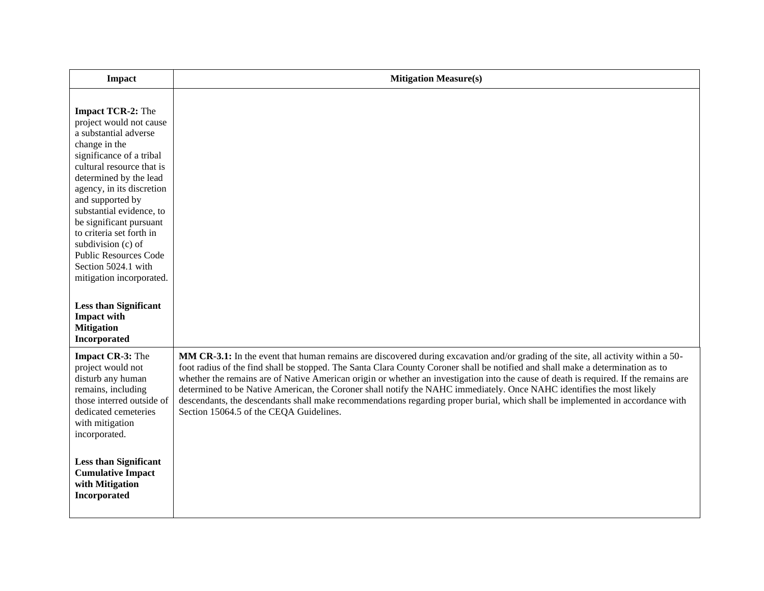| <b>Impact</b>                                                                                                                                                                                                                                                                                                                                                                                                                                                                                                                   | <b>Mitigation Measure(s)</b>                                                                                                                                                                                                                                                                                                                                                                                                                                                                                                                                                                                                                                                                                        |
|---------------------------------------------------------------------------------------------------------------------------------------------------------------------------------------------------------------------------------------------------------------------------------------------------------------------------------------------------------------------------------------------------------------------------------------------------------------------------------------------------------------------------------|---------------------------------------------------------------------------------------------------------------------------------------------------------------------------------------------------------------------------------------------------------------------------------------------------------------------------------------------------------------------------------------------------------------------------------------------------------------------------------------------------------------------------------------------------------------------------------------------------------------------------------------------------------------------------------------------------------------------|
| <b>Impact TCR-2:</b> The<br>project would not cause<br>a substantial adverse<br>change in the<br>significance of a tribal<br>cultural resource that is<br>determined by the lead<br>agency, in its discretion<br>and supported by<br>substantial evidence, to<br>be significant pursuant<br>to criteria set forth in<br>subdivision (c) of<br><b>Public Resources Code</b><br>Section 5024.1 with<br>mitigation incorporated.<br><b>Less than Significant</b><br><b>Impact with</b><br><b>Mitigation</b><br><b>Incorporated</b> |                                                                                                                                                                                                                                                                                                                                                                                                                                                                                                                                                                                                                                                                                                                     |
| Impact CR-3: The<br>project would not<br>disturb any human<br>remains, including<br>those interred outside of<br>dedicated cemeteries<br>with mitigation<br>incorporated.<br><b>Less than Significant</b>                                                                                                                                                                                                                                                                                                                       | MM CR-3.1: In the event that human remains are discovered during excavation and/or grading of the site, all activity within a 50-<br>foot radius of the find shall be stopped. The Santa Clara County Coroner shall be notified and shall make a determination as to<br>whether the remains are of Native American origin or whether an investigation into the cause of death is required. If the remains are<br>determined to be Native American, the Coroner shall notify the NAHC immediately. Once NAHC identifies the most likely<br>descendants, the descendants shall make recommendations regarding proper burial, which shall be implemented in accordance with<br>Section 15064.5 of the CEQA Guidelines. |
| <b>Cumulative Impact</b><br>with Mitigation<br>Incorporated                                                                                                                                                                                                                                                                                                                                                                                                                                                                     |                                                                                                                                                                                                                                                                                                                                                                                                                                                                                                                                                                                                                                                                                                                     |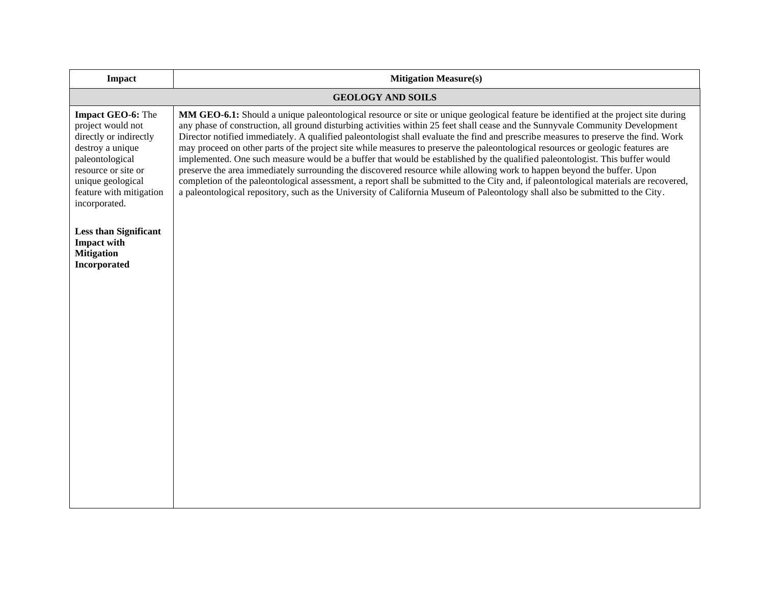| <b>Impact</b>                                                                                                                                                                                          | <b>Mitigation Measure(s)</b>                                                                                                                                                                                                                                                                                                                                                                                                                                                                                                                                                                                                                                                                                                                                                                                                                                                                                                                                                                                                                                                           |
|--------------------------------------------------------------------------------------------------------------------------------------------------------------------------------------------------------|----------------------------------------------------------------------------------------------------------------------------------------------------------------------------------------------------------------------------------------------------------------------------------------------------------------------------------------------------------------------------------------------------------------------------------------------------------------------------------------------------------------------------------------------------------------------------------------------------------------------------------------------------------------------------------------------------------------------------------------------------------------------------------------------------------------------------------------------------------------------------------------------------------------------------------------------------------------------------------------------------------------------------------------------------------------------------------------|
| <b>GEOLOGY AND SOILS</b>                                                                                                                                                                               |                                                                                                                                                                                                                                                                                                                                                                                                                                                                                                                                                                                                                                                                                                                                                                                                                                                                                                                                                                                                                                                                                        |
| <b>Impact GEO-6:</b> The<br>project would not<br>directly or indirectly<br>destroy a unique<br>paleontological<br>resource or site or<br>unique geological<br>feature with mitigation<br>incorporated. | MM GEO-6.1: Should a unique paleontological resource or site or unique geological feature be identified at the project site during<br>any phase of construction, all ground disturbing activities within 25 feet shall cease and the Sunnyvale Community Development<br>Director notified immediately. A qualified paleontologist shall evaluate the find and prescribe measures to preserve the find. Work<br>may proceed on other parts of the project site while measures to preserve the paleontological resources or geologic features are<br>implemented. One such measure would be a buffer that would be established by the qualified paleontologist. This buffer would<br>preserve the area immediately surrounding the discovered resource while allowing work to happen beyond the buffer. Upon<br>completion of the paleontological assessment, a report shall be submitted to the City and, if paleontological materials are recovered,<br>a paleontological repository, such as the University of California Museum of Paleontology shall also be submitted to the City. |
| <b>Less than Significant</b><br><b>Impact with</b><br><b>Mitigation</b><br>Incorporated                                                                                                                |                                                                                                                                                                                                                                                                                                                                                                                                                                                                                                                                                                                                                                                                                                                                                                                                                                                                                                                                                                                                                                                                                        |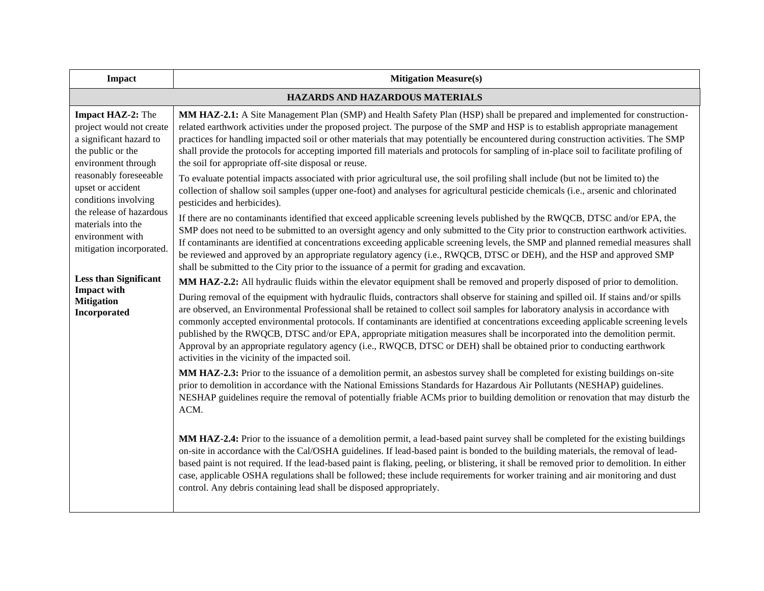| <b>Impact</b>                                                                                                                                                                                                                                                                                                                                                                                   | <b>Mitigation Measure(s)</b>                                                                                                                                                                                                                                                                                                                                                                                                                                                                                                                                                                                                                                                                                                                                                                                                                                  |  |
|-------------------------------------------------------------------------------------------------------------------------------------------------------------------------------------------------------------------------------------------------------------------------------------------------------------------------------------------------------------------------------------------------|---------------------------------------------------------------------------------------------------------------------------------------------------------------------------------------------------------------------------------------------------------------------------------------------------------------------------------------------------------------------------------------------------------------------------------------------------------------------------------------------------------------------------------------------------------------------------------------------------------------------------------------------------------------------------------------------------------------------------------------------------------------------------------------------------------------------------------------------------------------|--|
|                                                                                                                                                                                                                                                                                                                                                                                                 | HAZARDS AND HAZARDOUS MATERIALS                                                                                                                                                                                                                                                                                                                                                                                                                                                                                                                                                                                                                                                                                                                                                                                                                               |  |
| <b>Impact HAZ-2:</b> The<br>project would not create<br>a significant hazard to<br>the public or the<br>environment through<br>reasonably foreseeable<br>upset or accident<br>conditions involving<br>the release of hazardous<br>materials into the<br>environment with<br>mitigation incorporated.<br><b>Less than Significant</b><br><b>Impact with</b><br><b>Mitigation</b><br>Incorporated | MM HAZ-2.1: A Site Management Plan (SMP) and Health Safety Plan (HSP) shall be prepared and implemented for construction-<br>related earthwork activities under the proposed project. The purpose of the SMP and HSP is to establish appropriate management<br>practices for handling impacted soil or other materials that may potentially be encountered during construction activities. The SMP<br>shall provide the protocols for accepting imported fill materials and protocols for sampling of in-place soil to facilitate profiling of<br>the soil for appropriate off-site disposal or reuse.                                                                                                                                                                                                                                                        |  |
|                                                                                                                                                                                                                                                                                                                                                                                                 | To evaluate potential impacts associated with prior agricultural use, the soil profiling shall include (but not be limited to) the<br>collection of shallow soil samples (upper one-foot) and analyses for agricultural pesticide chemicals (i.e., arsenic and chlorinated<br>pesticides and herbicides).                                                                                                                                                                                                                                                                                                                                                                                                                                                                                                                                                     |  |
|                                                                                                                                                                                                                                                                                                                                                                                                 | If there are no contaminants identified that exceed applicable screening levels published by the RWQCB, DTSC and/or EPA, the<br>SMP does not need to be submitted to an oversight agency and only submitted to the City prior to construction earthwork activities.<br>If contaminants are identified at concentrations exceeding applicable screening levels, the SMP and planned remedial measures shall<br>be reviewed and approved by an appropriate regulatory agency (i.e., RWQCB, DTSC or DEH), and the HSP and approved SMP<br>shall be submitted to the City prior to the issuance of a permit for grading and excavation.                                                                                                                                                                                                                           |  |
|                                                                                                                                                                                                                                                                                                                                                                                                 | MM HAZ-2.2: All hydraulic fluids within the elevator equipment shall be removed and properly disposed of prior to demolition.<br>During removal of the equipment with hydraulic fluids, contractors shall observe for staining and spilled oil. If stains and/or spills<br>are observed, an Environmental Professional shall be retained to collect soil samples for laboratory analysis in accordance with<br>commonly accepted environmental protocols. If contaminants are identified at concentrations exceeding applicable screening levels<br>published by the RWQCB, DTSC and/or EPA, appropriate mitigation measures shall be incorporated into the demolition permit.<br>Approval by an appropriate regulatory agency (i.e., RWQCB, DTSC or DEH) shall be obtained prior to conducting earthwork<br>activities in the vicinity of the impacted soil. |  |
|                                                                                                                                                                                                                                                                                                                                                                                                 | MM HAZ-2.3: Prior to the issuance of a demolition permit, an asbestos survey shall be completed for existing buildings on-site<br>prior to demolition in accordance with the National Emissions Standards for Hazardous Air Pollutants (NESHAP) guidelines.<br>NESHAP guidelines require the removal of potentially friable ACMs prior to building demolition or renovation that may disturb the<br>ACM.                                                                                                                                                                                                                                                                                                                                                                                                                                                      |  |
|                                                                                                                                                                                                                                                                                                                                                                                                 | MM HAZ-2.4: Prior to the issuance of a demolition permit, a lead-based paint survey shall be completed for the existing buildings<br>on-site in accordance with the Cal/OSHA guidelines. If lead-based paint is bonded to the building materials, the removal of lead-<br>based paint is not required. If the lead-based paint is flaking, peeling, or blistering, it shall be removed prior to demolition. In either<br>case, applicable OSHA regulations shall be followed; these include requirements for worker training and air monitoring and dust<br>control. Any debris containing lead shall be disposed appropriately.                                                                                                                                                                                                                              |  |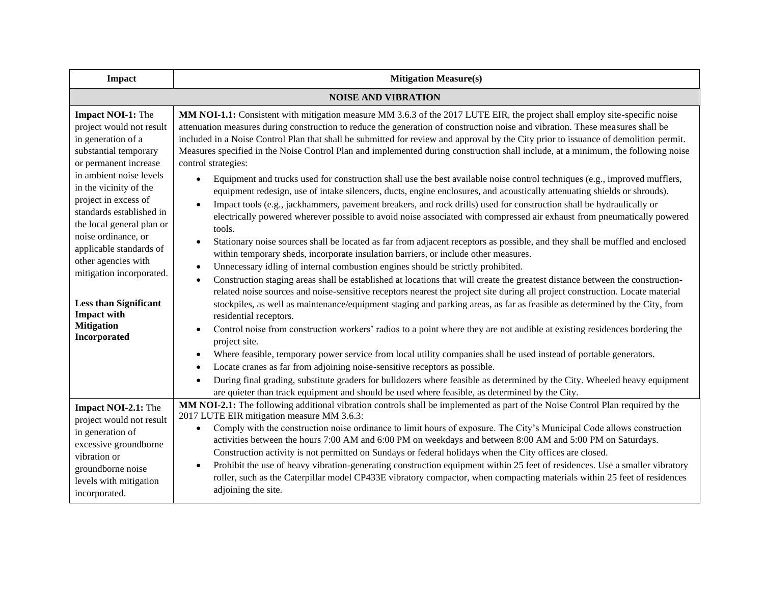| <b>Impact</b>                                                                                                                                                                                                                                                                                                                                                                                                                                                      | <b>Mitigation Measure(s)</b>                                                                                                                                                                                                                                                                                                                                                                                                                                                                                                                                                                                                                                                                                                                                                                                                                                                                                                                                                                                                                                                                                                                                                                                                                                                                                                                                                                                                                                                                                                                                                                                                                                                                                                                                                                                                                                                                                                                                                                                                                                                                                                                                                                                                                                                                                                                                                                                                             |  |
|--------------------------------------------------------------------------------------------------------------------------------------------------------------------------------------------------------------------------------------------------------------------------------------------------------------------------------------------------------------------------------------------------------------------------------------------------------------------|------------------------------------------------------------------------------------------------------------------------------------------------------------------------------------------------------------------------------------------------------------------------------------------------------------------------------------------------------------------------------------------------------------------------------------------------------------------------------------------------------------------------------------------------------------------------------------------------------------------------------------------------------------------------------------------------------------------------------------------------------------------------------------------------------------------------------------------------------------------------------------------------------------------------------------------------------------------------------------------------------------------------------------------------------------------------------------------------------------------------------------------------------------------------------------------------------------------------------------------------------------------------------------------------------------------------------------------------------------------------------------------------------------------------------------------------------------------------------------------------------------------------------------------------------------------------------------------------------------------------------------------------------------------------------------------------------------------------------------------------------------------------------------------------------------------------------------------------------------------------------------------------------------------------------------------------------------------------------------------------------------------------------------------------------------------------------------------------------------------------------------------------------------------------------------------------------------------------------------------------------------------------------------------------------------------------------------------------------------------------------------------------------------------------------------------|--|
| <b>NOISE AND VIBRATION</b>                                                                                                                                                                                                                                                                                                                                                                                                                                         |                                                                                                                                                                                                                                                                                                                                                                                                                                                                                                                                                                                                                                                                                                                                                                                                                                                                                                                                                                                                                                                                                                                                                                                                                                                                                                                                                                                                                                                                                                                                                                                                                                                                                                                                                                                                                                                                                                                                                                                                                                                                                                                                                                                                                                                                                                                                                                                                                                          |  |
| <b>Impact NOI-1:</b> The<br>project would not result<br>in generation of a<br>substantial temporary<br>or permanent increase<br>in ambient noise levels<br>in the vicinity of the<br>project in excess of<br>standards established in<br>the local general plan or<br>noise ordinance, or<br>applicable standards of<br>other agencies with<br>mitigation incorporated.<br><b>Less than Significant</b><br><b>Impact with</b><br><b>Mitigation</b><br>Incorporated | MM NOI-1.1: Consistent with mitigation measure MM 3.6.3 of the 2017 LUTE EIR, the project shall employ site-specific noise<br>attenuation measures during construction to reduce the generation of construction noise and vibration. These measures shall be<br>included in a Noise Control Plan that shall be submitted for review and approval by the City prior to issuance of demolition permit.<br>Measures specified in the Noise Control Plan and implemented during construction shall include, at a minimum, the following noise<br>control strategies:<br>Equipment and trucks used for construction shall use the best available noise control techniques (e.g., improved mufflers,<br>$\bullet$<br>equipment redesign, use of intake silencers, ducts, engine enclosures, and acoustically attenuating shields or shrouds).<br>Impact tools (e.g., jackhammers, pavement breakers, and rock drills) used for construction shall be hydraulically or<br>electrically powered wherever possible to avoid noise associated with compressed air exhaust from pneumatically powered<br>tools.<br>Stationary noise sources shall be located as far from adjacent receptors as possible, and they shall be muffled and enclosed<br>within temporary sheds, incorporate insulation barriers, or include other measures.<br>Unnecessary idling of internal combustion engines should be strictly prohibited.<br>Construction staging areas shall be established at locations that will create the greatest distance between the construction-<br>related noise sources and noise-sensitive receptors nearest the project site during all project construction. Locate material<br>stockpiles, as well as maintenance/equipment staging and parking areas, as far as feasible as determined by the City, from<br>residential receptors.<br>Control noise from construction workers' radios to a point where they are not audible at existing residences bordering the<br>project site.<br>Where feasible, temporary power service from local utility companies shall be used instead of portable generators.<br>Locate cranes as far from adjoining noise-sensitive receptors as possible.<br>During final grading, substitute graders for bulldozers where feasible as determined by the City. Wheeled heavy equipment<br>$\bullet$<br>are quieter than track equipment and should be used where feasible, as determined by the City. |  |
| Impact NOI-2.1: The<br>project would not result<br>in generation of<br>excessive groundborne<br>vibration or<br>groundborne noise<br>levels with mitigation<br>incorporated.                                                                                                                                                                                                                                                                                       | MM NOI-2.1: The following additional vibration controls shall be implemented as part of the Noise Control Plan required by the<br>2017 LUTE EIR mitigation measure MM 3.6.3:                                                                                                                                                                                                                                                                                                                                                                                                                                                                                                                                                                                                                                                                                                                                                                                                                                                                                                                                                                                                                                                                                                                                                                                                                                                                                                                                                                                                                                                                                                                                                                                                                                                                                                                                                                                                                                                                                                                                                                                                                                                                                                                                                                                                                                                             |  |
|                                                                                                                                                                                                                                                                                                                                                                                                                                                                    | Comply with the construction noise ordinance to limit hours of exposure. The City's Municipal Code allows construction<br>activities between the hours 7:00 AM and 6:00 PM on weekdays and between 8:00 AM and 5:00 PM on Saturdays.<br>Construction activity is not permitted on Sundays or federal holidays when the City offices are closed.<br>Prohibit the use of heavy vibration-generating construction equipment within 25 feet of residences. Use a smaller vibratory<br>roller, such as the Caterpillar model CP433E vibratory compactor, when compacting materials within 25 feet of residences<br>adjoining the site.                                                                                                                                                                                                                                                                                                                                                                                                                                                                                                                                                                                                                                                                                                                                                                                                                                                                                                                                                                                                                                                                                                                                                                                                                                                                                                                                                                                                                                                                                                                                                                                                                                                                                                                                                                                                        |  |